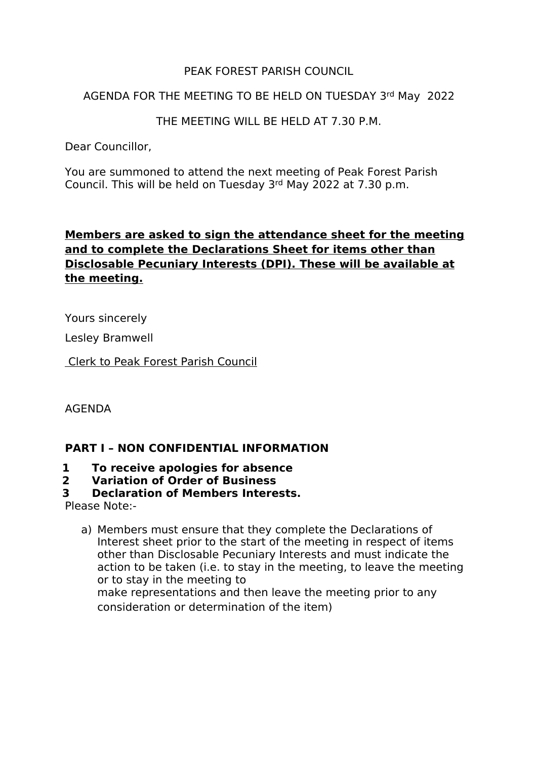## PEAK FOREST PARISH COUNCIL

#### AGENDA FOR THE MEETING TO BE HELD ON TUESDAY 3rd May 2022

THE MEETING WILL BE HELD AT 7.30 P.M.

Dear Councillor,

You are summoned to attend the next meeting of Peak Forest Parish Council. This will be held on Tuesday 3rd May 2022 at 7.30 p.m.

## **Members are asked to sign the attendance sheet for the meeting and to complete the Declarations Sheet for items other than Disclosable Pecuniary Interests (DPI). These will be available at the meeting.**

Yours sincerely

Lesley Bramwell

Clerk to Peak Forest Parish Council

AGENDA

## **PART I – NON CONFIDENTIAL INFORMATION**

# **1 To receive apologies forabsence**

# **2 Variation of Order of Business**

## **3 Declaration of Members Interests.**

Please Note:-

a) Members must ensure that they complete the Declarations of Interest sheet prior to the start of the meeting in respect of items other than Disclosable Pecuniary Interests and must indicate the action to be taken (i.e. to stay in the meeting, to leave the meeting or to stay in the meeting to make representations and then leave the meeting prior to any consideration or determination of the item)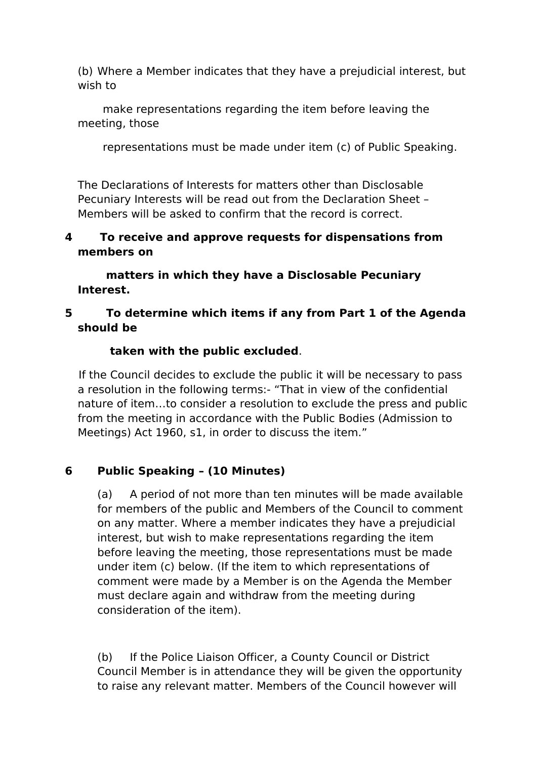(b) Where a Member indicates that they have a prejudicial interest, but wish to

make representations regarding the item before leaving the meeting, those

representations must be made under item (c) of Public Speaking.

The Declarations of Interests for matters other than Disclosable Pecuniary Interests will be read out from the Declaration Sheet – Members will be asked to confirm that the record is correct.

## **4 To receive and approve requests fordispensations from members on**

**matters in which they have a Disclosable Pecuniary Interest.**

## **5 To determine which items if any from Part 1 of the Agenda should be**

## **taken with the public excluded**.

If the Council decides to exclude the public it will be necessary to pass a resolution in the following terms:- "That in view of the confidential nature of item…to consider a resolution to exclude the press and public from the meeting in accordance with the Public Bodies (Admission to Meetings) Act 1960, s1, in order to discuss the item."

## **6 Public Speaking – (10 Minutes)**

(a) A period of not more than ten minutes will be made available for members of the public and Members of the Council to comment on any matter. Where a member indicates they have a prejudicial interest, but wish to make representations regarding the item before leaving the meeting, those representations must be made under item (c) below. (If the item to which representations of comment were made by a Member is on the Agenda the Member must declare again and withdraw from the meeting during consideration of the item).

(b) If the Police Liaison Officer, a County Council or District Council Member is in attendance they will be given the opportunity to raise any relevant matter. Members of the Council however will